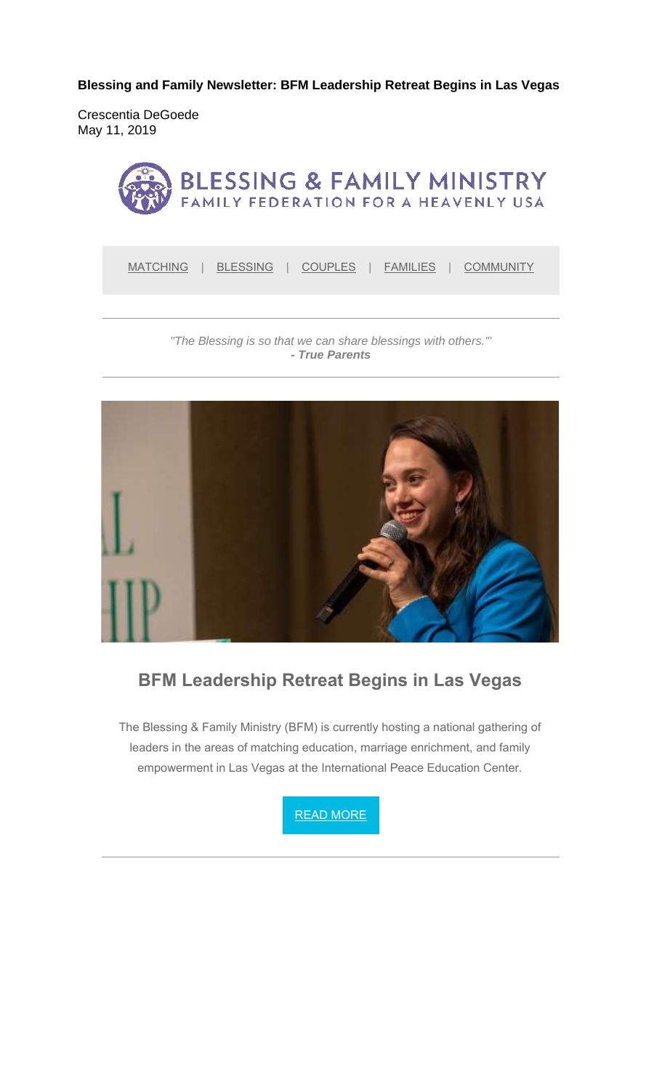**Blessing and Family Newsletter: BFM Leadership Retreat Begins in Las Vegas** 

Crescentia DeGoede May 11, 2019



MATCHING | BLESSING | COUPLES | FAMILIES | COMMUNITY

*"The Blessing is so that we can share blessings with others.'" - True Parents*



#### **BFM Leadership Retreat Begins in Las Vegas**

The Blessing & Family Ministry (BFM) is currently hosting a national gathering of leaders in the areas of matching education, marriage enrichment, and family empowerment in Las Vegas at the International Peace Education Center.

READ MORE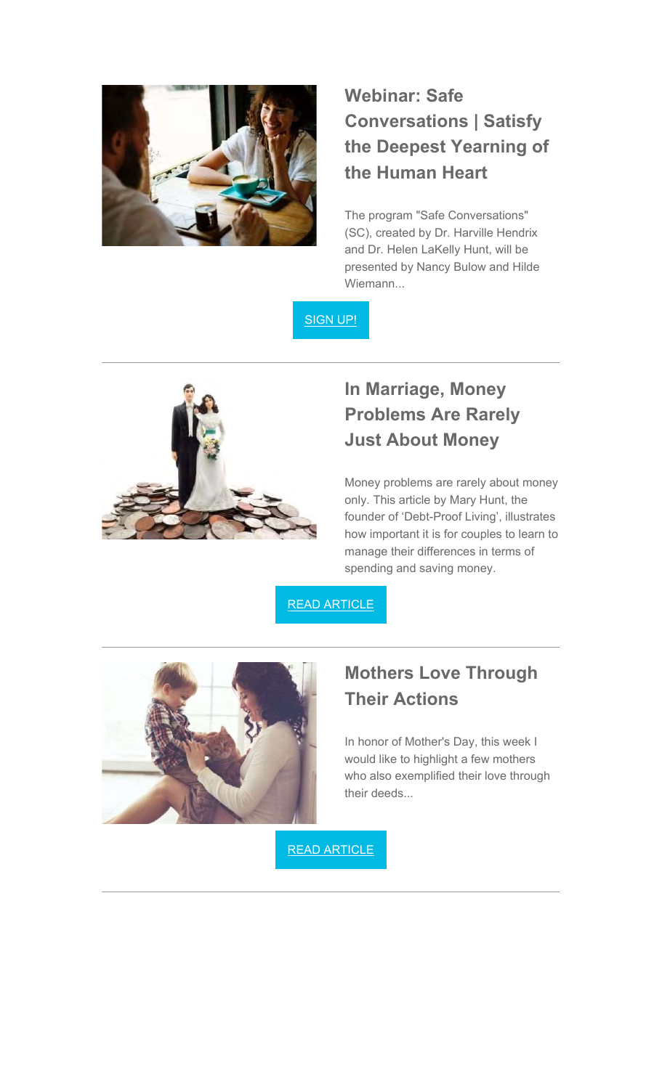

# **Webinar: Safe Conversations | Satisfy the Deepest Yearning of the Human Heart**

The program "Safe Conversations" (SC), created by Dr. Harville Hendrix and Dr. Helen LaKelly Hunt, will be presented by Nancy Bulow and Hilde Wiemann...

SIGN UP!



# **In Marriage, Money Problems Are Rarely Just About Money**

Money problems are rarely about money only. This article by Mary Hunt, the founder of 'Debt-Proof Living', illustrates how important it is for couples to learn to manage their differences in terms of spending and saving money.

READ ARTICLE



## **Mothers Love Through Their Actions**

In honor of Mother's Day, this week I would like to highlight a few mothers who also exemplified their love through their deeds...

READ ARTICLE